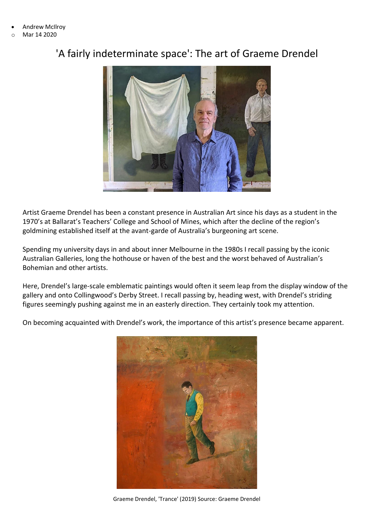- Andrew McIlroy
- o Mar 14 2020

## 'A fairly indeterminate space': The art of Graeme Drendel



Artist Graeme Drendel has been a constant presence in Australian Art since his days as a student in the 1970's at Ballarat's Teachers' College and School of Mines, which after the decline of the region's goldmining established itself at the avant-garde of Australia's burgeoning art scene.

Spending my university days in and about inner Melbourne in the 1980s I recall passing by the iconic Australian Galleries, long the hothouse or haven of the best and the worst behaved of Australian's Bohemian and other artists.

Here, Drendel's large-scale emblematic paintings would often it seem leap from the display window of the gallery and onto Collingwood's Derby Street. I recall passing by, heading west, with Drendel's striding figures seemingly pushing against me in an easterly direction. They certainly took my attention.

On becoming acquainted with Drendel's work, the importance of this artist's presence became apparent.



Graeme Drendel, 'Trance' (2019) Source: Graeme Drendel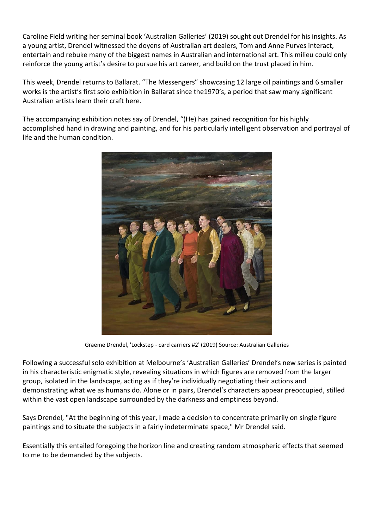Caroline Field writing her seminal book 'Australian Galleries' (2019) sought out Drendel for his insights. As a young artist, Drendel witnessed the doyens of Australian art dealers, Tom and Anne Purves interact, entertain and rebuke many of the biggest names in Australian and international art. This milieu could only reinforce the young artist's desire to pursue his art career, and build on the trust placed in him.

This week, Drendel returns to Ballarat. "The Messengers" showcasing 12 large oil paintings and 6 smaller works is the artist's first solo exhibition in Ballarat since the1970's, a period that saw many significant Australian artists learn their craft here.

The accompanying exhibition notes say of Drendel, "(He) has gained recognition for his highly accomplished hand in drawing and painting, and for his particularly intelligent observation and portrayal of life and the human condition.



Graeme Drendel, 'Lockstep - card carriers #2' (2019) Source: Australian Galleries

Following a successful solo exhibition at Melbourne's 'Australian Galleries' Drendel's new series is painted in his characteristic enigmatic style, revealing situations in which figures are removed from the larger group, isolated in the landscape, acting as if they're individually negotiating their actions and demonstrating what we as humans do. Alone or in pairs, Drendel's characters appear preoccupied, stilled within the vast open landscape surrounded by the darkness and emptiness beyond.

Says Drendel, "At the beginning of this year, I made a decision to concentrate primarily on single figure paintings and to situate the subjects in a fairly indeterminate space," Mr Drendel said.

Essentially this entailed foregoing the horizon line and creating random atmospheric effects that seemed to me to be demanded by the subjects.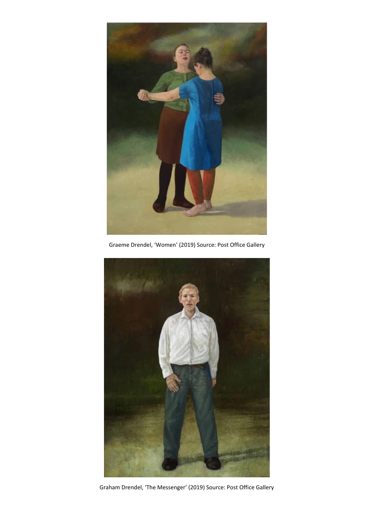

Graeme Drendel, 'Women' (2019) Source: Post Office Gallery



Graham Drendel, 'The Messenger' (2019) Source: Post Office Gallery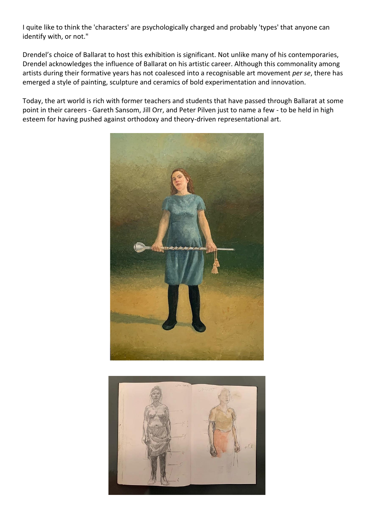I quite like to think the 'characters' are psychologically charged and probably 'types' that anyone can identify with, or not."

Drendel's choice of Ballarat to host this exhibition is significant. Not unlike many of his contemporaries, Drendel acknowledges the influence of Ballarat on his artistic career. Although this commonality among artists during their formative years has not coalesced into a recognisable art movement *per se*, there has emerged a style of painting, sculpture and ceramics of bold experimentation and innovation.

Today, the art world is rich with former teachers and students that have passed through Ballarat at some point in their careers - Gareth Sansom, Jill Orr, and Peter Pilven just to name a few - to be held in high esteem for having pushed against orthodoxy and theory-driven representational art.



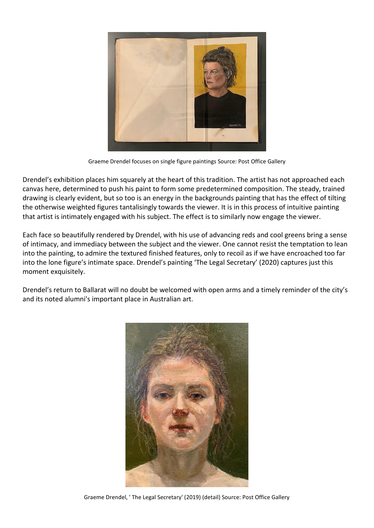

Graeme Drendel focuses on single figure paintings Source: Post Office Gallery

Drendel's exhibition places him squarely at the heart of this tradition. The artist has not approached each canvas here, determined to push his paint to form some predetermined composition. The steady, trained drawing is clearly evident, but so too is an energy in the backgrounds painting that has the effect of tilting the otherwise weighted figures tantalisingly towards the viewer. It is in this process of intuitive painting that artist is intimately engaged with his subject. The effect is to similarly now engage the viewer.

Each face so beautifully rendered by Drendel, with his use of advancing reds and cool greens bring a sense of intimacy, and immediacy between the subject and the viewer. One cannot resist the temptation to lean into the painting, to admire the textured finished features, only to recoil as if we have encroached too far into the lone figure's intimate space. Drendel's painting 'The Legal Secretary' (2020) captures just this moment exquisitely.

Drendel's return to Ballarat will no doubt be welcomed with open arms and a timely reminder of the city's and its noted alumni's important place in Australian art.



Graeme Drendel, ' The Legal Secretary' (2019) (detail) Source: Post Office Gallery